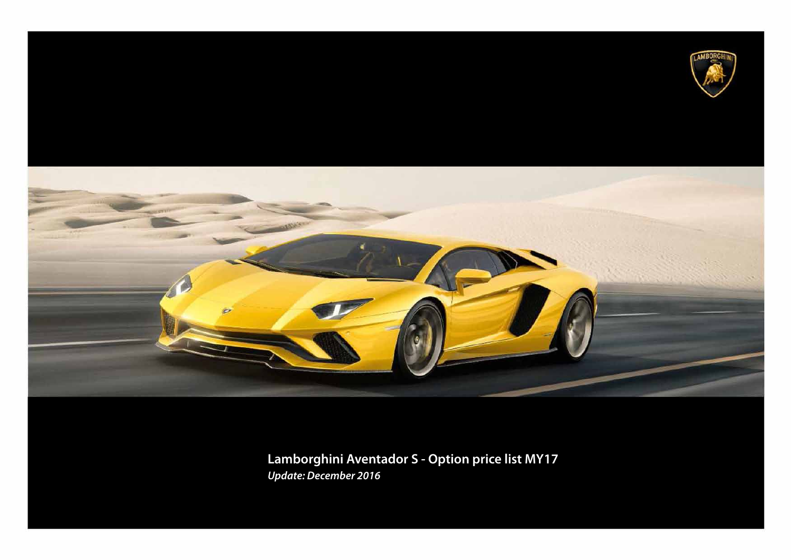



**Lamborghini Aventador S - Option price list MY17** *Update: December 2016*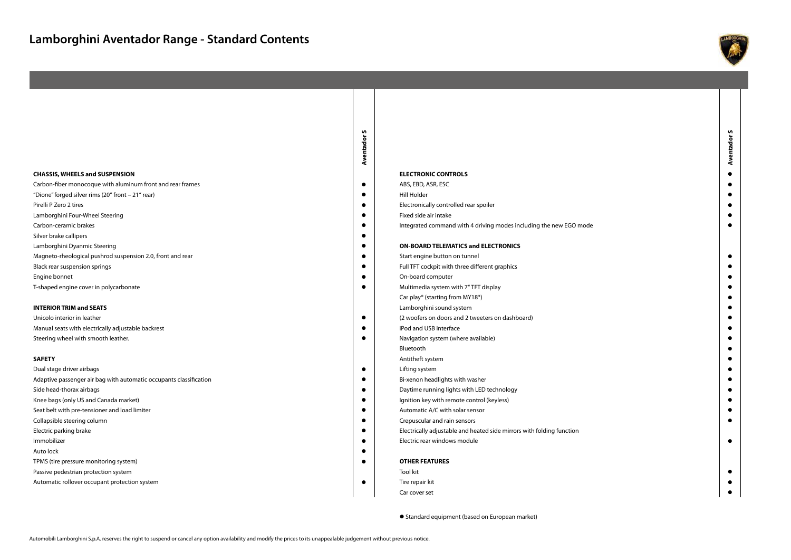



Standard equipment (based on European market)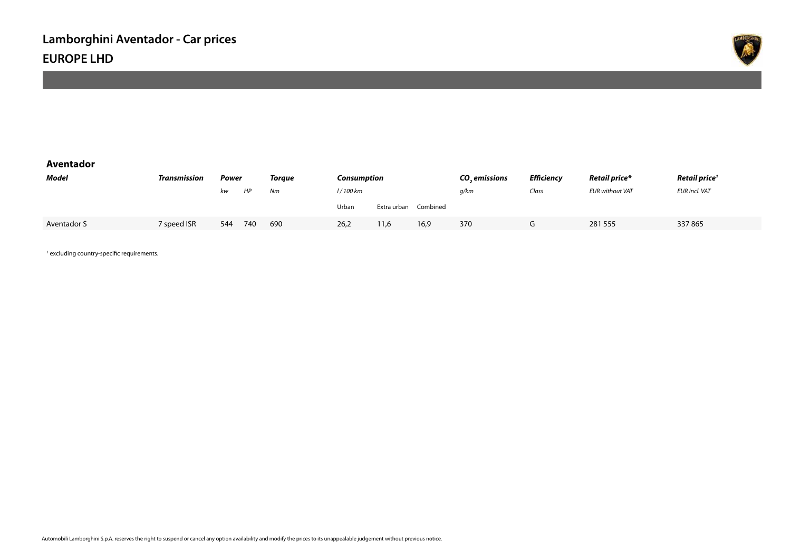

### **Aventador**

| Model       | Transmission | Power |     | Toraue | Consumption |             | CO emissions | <b>Efficiency</b> | <b>Retail price*</b> | Retail price <sup>1</sup> |                      |
|-------------|--------------|-------|-----|--------|-------------|-------------|--------------|-------------------|----------------------|---------------------------|----------------------|
|             |              | kw    | HP  | Nm     | l / 100 km  |             |              | q/km              | Class                | <b>EUR without VAT</b>    | <b>EUR incl. VAT</b> |
|             |              |       |     |        | Urban       | Extra urban | Combined     |                   |                      |                           |                      |
| Aventador S | 7 speed ISR  | 544   | 740 | 690    | 26,2        | 11,6        | 16,9         | 370               | u                    | 281 555                   | 337865               |

1 excluding country-specific requirements.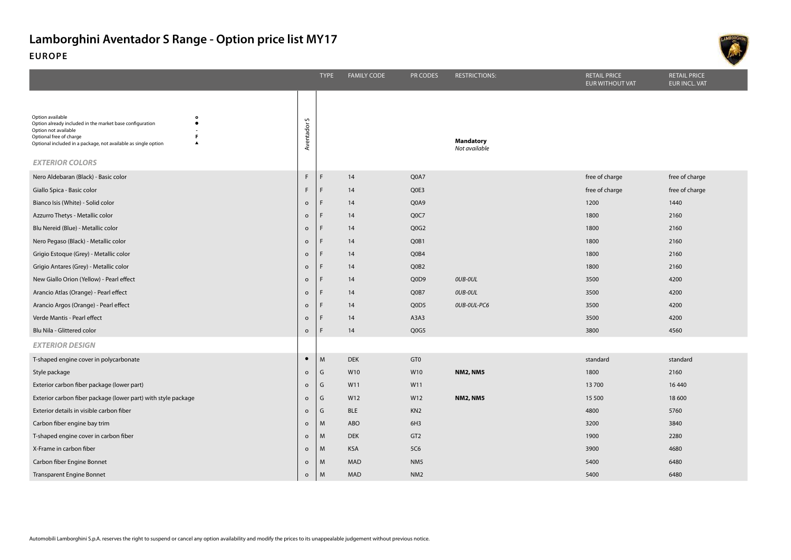

|                                                                                                                                                                                                                                          |                | <b>TYPE</b>  | <b>FAMILY CODE</b> | <b>PR CODES</b>   | <b>RESTRICTIONS:</b>              | <b>RETAIL PRICE</b><br>EUR WITHOUT VAT | <b>RETAIL PRICE</b><br><b>EUR INCL. VAT</b> |
|------------------------------------------------------------------------------------------------------------------------------------------------------------------------------------------------------------------------------------------|----------------|--------------|--------------------|-------------------|-----------------------------------|----------------------------------------|---------------------------------------------|
| Option available<br>$\bullet$<br>Option already included in the market base configuration<br>Option not available<br>Optional free of charge<br>Optional included in a package, not available as single option<br><b>EXTERIOR COLORS</b> | S<br>Aventador |              |                    |                   | <b>Mandatory</b><br>Not available |                                        |                                             |
| Nero Aldebaran (Black) - Basic color                                                                                                                                                                                                     | $\mathsf F$    | $\mathsf{F}$ | 14                 | Q0A7              |                                   | free of charge                         | free of charge                              |
| Giallo Spica - Basic color                                                                                                                                                                                                               | F.             | F            | 14                 | Q0E3              |                                   | free of charge                         | free of charge                              |
| Bianco Isis (White) - Solid color                                                                                                                                                                                                        | $\mathsf{o}$   | $\mathsf{F}$ | 14                 | Q0A9              |                                   | 1200                                   | 1440                                        |
| Azzurro Thetys - Metallic color                                                                                                                                                                                                          | $\mathsf{o}$   | F            | 14                 | Q <sub>0</sub> C7 |                                   | 1800                                   | 2160                                        |
| Blu Nereid (Blue) - Metallic color                                                                                                                                                                                                       | $\circ$        | F            | 14                 | Q0G2              |                                   | 1800                                   | 2160                                        |
| Nero Pegaso (Black) - Metallic color                                                                                                                                                                                                     | $\circ$        | F            | 14                 | Q0B1              |                                   | 1800                                   | 2160                                        |
| Grigio Estoque (Grey) - Metallic color                                                                                                                                                                                                   | $\circ$        |              | 14                 | Q0B4              |                                   | 1800                                   | 2160                                        |
| Grigio Antares (Grey) - Metallic color                                                                                                                                                                                                   | $\mathsf{o}$   | E            | 14                 | Q0B2              |                                   | 1800                                   | 2160                                        |
| New Giallo Orion (Yellow) - Pearl effect                                                                                                                                                                                                 | $\circ$        | F            | 14                 | Q0D9              | OUB-OUL                           | 3500                                   | 4200                                        |
| Arancio Atlas (Orange) - Pearl effect                                                                                                                                                                                                    | $\circ$        | F            | 14                 | Q0B7              | OUB-OUL                           | 3500                                   | 4200                                        |
| Arancio Argos (Orange) - Pearl effect                                                                                                                                                                                                    | $\mathsf{o}$   | $\mathsf{F}$ | 14                 | Q0D5              | OUB-OUL-PC6                       | 3500                                   | 4200                                        |
| Verde Mantis - Pearl effect                                                                                                                                                                                                              | $\circ$        | F            | 14                 | A3A3              |                                   | 3500                                   | 4200                                        |
| Blu Nila - Glittered color                                                                                                                                                                                                               | $\circ$        |              | 14                 | Q0G5              |                                   | 3800                                   | 4560                                        |
| <b>EXTERIOR DESIGN</b>                                                                                                                                                                                                                   |                |              |                    |                   |                                   |                                        |                                             |
| T-shaped engine cover in polycarbonate                                                                                                                                                                                                   | $\bullet$      | M            | <b>DEK</b>         | GT0               |                                   | standard                               | standard                                    |
| Style package                                                                                                                                                                                                                            | $\circ$        | G            | W10                | W10               | <b>NM2, NM5</b>                   | 1800                                   | 2160                                        |
| Exterior carbon fiber package (lower part)                                                                                                                                                                                               | $\circ$        | G            | W11                | W11               |                                   | 13700                                  | 16 4 40                                     |
| Exterior carbon fiber package (lower part) with style package                                                                                                                                                                            | $\circ$        | G            | W12                | W12               | <b>NM2, NM5</b>                   | 15 500                                 | 18 600                                      |
| Exterior details in visible carbon fiber                                                                                                                                                                                                 | $\circ$        | G            | <b>BLE</b>         | KN <sub>2</sub>   |                                   | 4800                                   | 5760                                        |
| Carbon fiber engine bay trim                                                                                                                                                                                                             | $\circ$        | M            | <b>ABO</b>         | 6H3               |                                   | 3200                                   | 3840                                        |
| T-shaped engine cover in carbon fiber                                                                                                                                                                                                    | $\circ$        | M            | <b>DEK</b>         | GT <sub>2</sub>   |                                   | 1900                                   | 2280                                        |
| X-Frame in carbon fiber                                                                                                                                                                                                                  | $\circ$        | M            | <b>KSA</b>         | 5C6               |                                   | 3900                                   | 4680                                        |
| Carbon fiber Engine Bonnet                                                                                                                                                                                                               | $\circ$        | M            | <b>MAD</b>         | NM <sub>5</sub>   |                                   | 5400                                   | 6480                                        |
| <b>Transparent Engine Bonnet</b>                                                                                                                                                                                                         | $\circ$        | M            | <b>MAD</b>         | NM <sub>2</sub>   |                                   | 5400                                   | 6480                                        |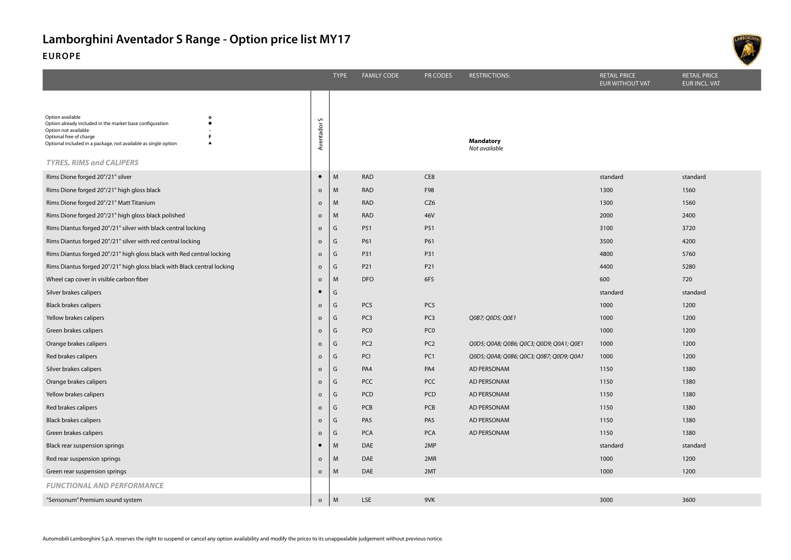|                                                                                                                                                                                                                                                                                       |                     | <b>TYPE</b> | <b>FAMILY CODE</b> | PR CODES        | <b>RESTRICTIONS:</b>                     | <b>RETAIL PRICE</b><br><b>EUR WITHOUT VAT</b> | <b>RETAIL PRICE</b><br>EUR INCL. VAT |
|---------------------------------------------------------------------------------------------------------------------------------------------------------------------------------------------------------------------------------------------------------------------------------------|---------------------|-------------|--------------------|-----------------|------------------------------------------|-----------------------------------------------|--------------------------------------|
| Option available<br>$\circ$<br>Option already included in the market base configuration<br>$\bullet$<br>Option not available<br>Optional free of charge<br>F<br>Optional included in a package, not available as single option<br>$\blacktriangle$<br><b>TYRES, RIMS and CALIPERS</b> | S<br>Aventador      |             |                    |                 | <b>Mandatory</b><br>Not available        |                                               |                                      |
| Rims Dione forged 20"/21" silver                                                                                                                                                                                                                                                      | $\bullet$           | M           | <b>RAD</b>         | CE8             |                                          | standard                                      | standard                             |
| Rims Dione forged 20"/21" high gloss black                                                                                                                                                                                                                                            | $\mathsf{o}\xspace$ | M           | <b>RAD</b>         | F98             |                                          | 1300                                          | 1560                                 |
| Rims Dione forged 20"/21" Matt Titanium                                                                                                                                                                                                                                               | $\mathsf{o}\xspace$ | M           | <b>RAD</b>         | CZ <sub>6</sub> |                                          | 1300                                          | 1560                                 |
| Rims Dione forged 20"/21" high gloss black polished                                                                                                                                                                                                                                   | $\circ$             | M           | <b>RAD</b>         | 46V             |                                          | 2000                                          | 2400                                 |
| Rims Diantus forged 20"/21" silver with black central locking                                                                                                                                                                                                                         | $\circ$             | G           | P51                | P51             |                                          | 3100                                          | 3720                                 |
| Rims Diantus forged 20"/21" silver with red central locking                                                                                                                                                                                                                           | $\mathsf{o}\xspace$ | G           | P61                | P61             |                                          | 3500                                          | 4200                                 |
| Rims Diantus forged 20"/21" high gloss black with Red central locking                                                                                                                                                                                                                 | $\mathsf{o}\,$      | G           | <b>P31</b>         | P31             |                                          | 4800                                          | 5760                                 |
| Rims Diantus forged 20"/21" high gloss black with Black central locking                                                                                                                                                                                                               | $\circ$             | G           | P21                | P21             |                                          | 4400                                          | 5280                                 |
| Wheel cap cover in visible carbon fiber                                                                                                                                                                                                                                               | $\circ$             | M           | <b>DFO</b>         | 6F5             |                                          | 600                                           | 720                                  |
| Silver brakes calipers                                                                                                                                                                                                                                                                | $\bullet$           | G           |                    |                 |                                          | standard                                      | standard                             |
| <b>Black brakes calipers</b>                                                                                                                                                                                                                                                          | $\circ$             | G           | PC5                | PC <sub>5</sub> |                                          | 1000                                          | 1200                                 |
| Yellow brakes calipers                                                                                                                                                                                                                                                                | $\mathsf{o}$        | G           | PC <sub>3</sub>    | PC <sub>3</sub> | Q0B7; Q0D5; Q0E1                         | 1000                                          | 1200                                 |
| Green brakes calipers                                                                                                                                                                                                                                                                 | $\circ$             | G           | PC <sub>0</sub>    | PC <sub>0</sub> |                                          | 1000                                          | 1200                                 |
| Orange brakes calipers                                                                                                                                                                                                                                                                | $\mathsf{o}\,$      | G           | PC <sub>2</sub>    | PC <sub>2</sub> | Q0D5; Q0A8; Q0B6; Q0C3; Q0D9; Q0A1; Q0E1 | 1000                                          | 1200                                 |
| Red brakes calipers                                                                                                                                                                                                                                                                   | $\mathsf{o}\,$      | G           | PCI                | PC1             | Q0D5; Q0A8; Q0B6; Q0C3; Q0B7; Q0D9; Q0A1 | 1000                                          | 1200                                 |
| Silver brakes calipers                                                                                                                                                                                                                                                                | $\circ$             | G           | PA4                | PA4             | AD PERSONAM                              | 1150                                          | 1380                                 |
| Orange brakes calipers                                                                                                                                                                                                                                                                | $\mathsf{o}\,$      | G           | <b>PCC</b>         | <b>PCC</b>      | AD PERSONAM                              | 1150                                          | 1380                                 |
| Yellow brakes calipers                                                                                                                                                                                                                                                                | $\mathsf{o}$        | G           | PCD                | PCD             | AD PERSONAM                              | 1150                                          | 1380                                 |
| Red brakes calipers                                                                                                                                                                                                                                                                   | $\mathsf{o}\,$      | G           | <b>PCB</b>         | PCB             | AD PERSONAM                              | 1150                                          | 1380                                 |
| <b>Black brakes calipers</b>                                                                                                                                                                                                                                                          | $\mathsf{o}\,$      | G           | PA <sub>5</sub>    | PA <sub>5</sub> | AD PERSONAM                              | 1150                                          | 1380                                 |
| Green brakes calipers                                                                                                                                                                                                                                                                 | $\mathsf{o}\,$      | G           | <b>PCA</b>         | <b>PCA</b>      | AD PERSONAM                              | 1150                                          | 1380                                 |
| Black rear suspension springs                                                                                                                                                                                                                                                         | $\bullet$           | M           | DAE                | 2MP             |                                          | standard                                      | standard                             |
| Red rear suspension springs                                                                                                                                                                                                                                                           | $\mathsf{o}$        | M           | DAE                | 2MR             |                                          | 1000                                          | 1200                                 |
| Green rear suspension springs                                                                                                                                                                                                                                                         | $\mathsf{o}\,$      | M           | DAE                | 2MT             |                                          | 1000                                          | 1200                                 |
| <b>FUNCTIONAL AND PERFORMANCE</b>                                                                                                                                                                                                                                                     |                     |             |                    |                 |                                          |                                               |                                      |
| "Sensonum" Premium sound system                                                                                                                                                                                                                                                       | $\mathsf{o}\,$      | M           | <b>LSE</b>         | 9VK             |                                          | 3000                                          | 3600                                 |
|                                                                                                                                                                                                                                                                                       |                     |             |                    |                 |                                          |                                               |                                      |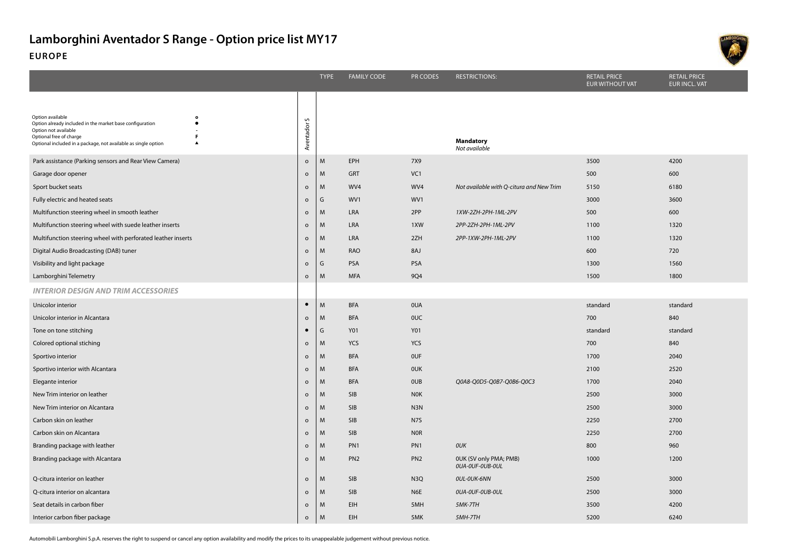

|                                                                                                                    |                     | <b>TYPE</b> | <b>FAMILY CODE</b> | PR CODES        | <b>RESTRICTIONS:</b>                      | <b>RETAIL PRICE</b><br>EUR WITHOUT VAT | <b>RETAIL PRICE</b><br><b>EUR INCL. VAT</b> |
|--------------------------------------------------------------------------------------------------------------------|---------------------|-------------|--------------------|-----------------|-------------------------------------------|----------------------------------------|---------------------------------------------|
| Option available<br>$\bullet$                                                                                      |                     |             |                    |                 |                                           |                                        |                                             |
| Option already included in the market base configuration<br>$\bullet$<br>Option not available                      |                     |             |                    |                 |                                           |                                        |                                             |
| Optional free of charge<br>F<br>Optional included in a package, not available as single option<br>$\blacktriangle$ | Aventador S         |             |                    |                 | <b>Mandatory</b><br>Not available         |                                        |                                             |
| Park assistance (Parking sensors and Rear View Camera)                                                             | $\mathsf{o}$        | M           | EPH                | 7X9             |                                           | 3500                                   | 4200                                        |
| Garage door opener                                                                                                 | $\mathsf{o}$        | M           | <b>GRT</b>         | VC1             |                                           | 500                                    | 600                                         |
| Sport bucket seats                                                                                                 | $\mathsf{o}$        | M           | WV4                | WV4             | Not available with Q-citura and New Trim  | 5150                                   | 6180                                        |
| Fully electric and heated seats                                                                                    | $\mathsf{o}$        | G           | WV1                | WV1             |                                           | 3000                                   | 3600                                        |
| Multifunction steering wheel in smooth leather                                                                     | $\circ$             | M           | LRA                | 2PP             | 1XW-2ZH-2PH-1ML-2PV                       | 500                                    | 600                                         |
| Multifunction steering wheel with suede leather inserts                                                            | $\circ$             | M           | LRA                | 1XW             | 2PP-2ZH-2PH-1ML-2PV                       | 1100                                   | 1320                                        |
| Multifunction steering wheel with perforated leather inserts                                                       | $\mathsf{o}$        | M           | LRA                | 2ZH             | 2PP-1XW-2PH-1ML-2PV                       | 1100                                   | 1320                                        |
| Digital Audio Broadcasting (DAB) tuner                                                                             | $\circ$             | M           | <b>RAO</b>         | 8AJ             |                                           | 600                                    | 720                                         |
| Visibility and light package                                                                                       | $\mathsf{o}$        | G           | PSA                | PSA             |                                           | 1300                                   | 1560                                        |
| Lamborghini Telemetry                                                                                              | $\mathsf{o}\xspace$ | M           | <b>MFA</b>         | <b>9Q4</b>      |                                           | 1500                                   | 1800                                        |
| <b>INTERIOR DESIGN AND TRIM ACCESSORIES</b>                                                                        |                     |             |                    |                 |                                           |                                        |                                             |
| Unicolor interior                                                                                                  | $\bullet$           | M           | <b>BFA</b>         | 0UA             |                                           | standard                               | standard                                    |
| Unicolor interior in Alcantara                                                                                     | $\circ$             | M           | <b>BFA</b>         | <b>OUC</b>      |                                           | 700                                    | 840                                         |
| Tone on tone stitching                                                                                             |                     | G           | Y01                | <b>Y01</b>      |                                           | standard                               | standard                                    |
| Colored optional stiching                                                                                          | $\mathsf{o}$        | M           | <b>YCS</b>         | <b>YCS</b>      |                                           | 700                                    | 840                                         |
| Sportivo interior                                                                                                  | $\mathsf{o}$        | M           | <b>BFA</b>         | <b>OUF</b>      |                                           | 1700                                   | 2040                                        |
| Sportivo interior with Alcantara                                                                                   | $\mathsf{o}$        | M           | <b>BFA</b>         | <b>OUK</b>      |                                           | 2100                                   | 2520                                        |
| Elegante interior                                                                                                  | $\mathsf{o}$        | M           | <b>BFA</b>         | <b>OUB</b>      | Q0A8-Q0D5-Q0B7-Q0B6-Q0C3                  | 1700                                   | 2040                                        |
| New Trim interior on leather                                                                                       | $\circ$             | M           | SIB                | <b>NOK</b>      |                                           | 2500                                   | 3000                                        |
| New Trim interior on Alcantara                                                                                     | $\mathsf{o}$        | M           | <b>SIB</b>         | N3N             |                                           | 2500                                   | 3000                                        |
| Carbon skin on leather                                                                                             | $\mathsf{o}$        | M           | SIB                | N7S             |                                           | 2250                                   | 2700                                        |
| Carbon skin on Alcantara                                                                                           | $\mathsf{o}$        | M           | SIB                | <b>NOR</b>      |                                           | 2250                                   | 2700                                        |
| Branding package with leather                                                                                      | $\circ$             | M           | PN <sub>1</sub>    | PN <sub>1</sub> | OUK                                       | 800                                    | 960                                         |
| Branding package with Alcantara                                                                                    | $\circ$             | M           | PN <sub>2</sub>    | PN <sub>2</sub> | OUK (SV only PMA; PMB)<br>OUA-OUF-OUB-OUL | 1000                                   | 1200                                        |
| Q-citura interior on leather                                                                                       | $\circ$             | M           | SIB                | N <sub>3Q</sub> | OUL-OUK-6NN                               | 2500                                   | 3000                                        |
| Q-citura interior on alcantara                                                                                     | $\mathsf{o}$        | M           | SIB                | N <sub>6E</sub> | OUA-OUF-OUB-OUL                           | 2500                                   | 3000                                        |
| Seat details in carbon fiber                                                                                       | $\mathsf{o}$        | M           | <b>EIH</b>         | 5MH             | 5MK-7TH                                   | 3500                                   | 4200                                        |
| Interior carbon fiber package                                                                                      | $\circ$             | M           | <b>EIH</b>         | 5MK             | 5MH-7TH                                   | 5200                                   | 6240                                        |

Automobili Lamborghini S.p.A. reserves the right to suspend or cancel any option availability and modify the prices to its unappealable judgement without previous notice.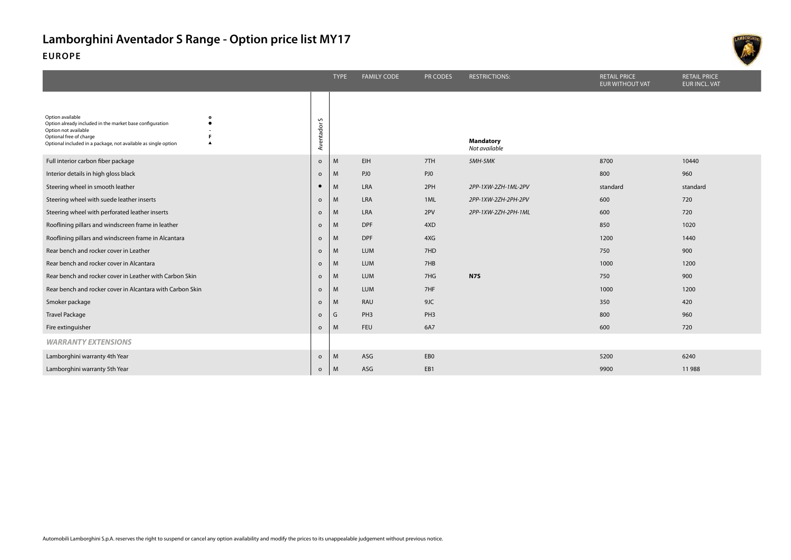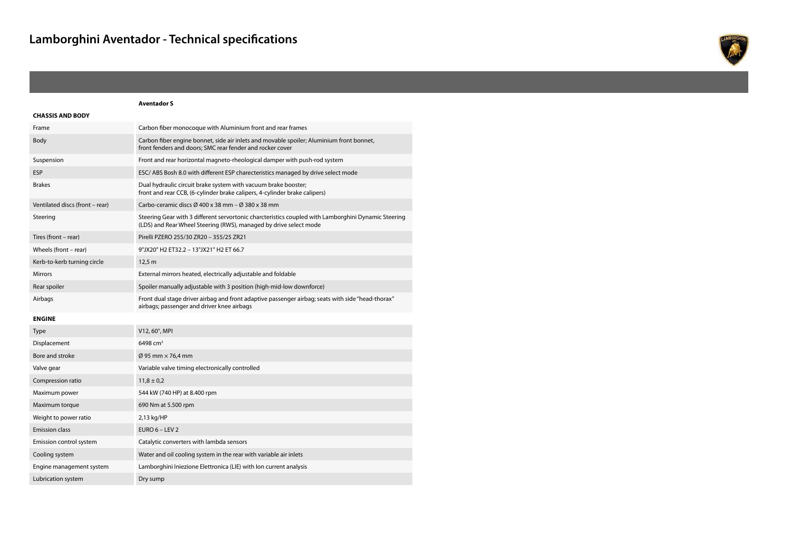

#### **Aventador S CHASSIS AND BODY** Frame Carbon fiber monocoque with Aluminium front and rear frames Body Carbon fiber engine bonnet, side air inlets and movable spoiler; Aluminium front bonnet, front fenders and doors; SMC rear fender and rocker cover Suspension Front and rear horizontal magneto-rheological damper with push-rod system ESP ESC/ ABS Bosh 8.0 with different ESP charecteristics managed by drive select mode Brakes Dual hydraulic circuit brake system with vacuum brake booster; front and rear CCB, (6-cylinder brake calipers, 4-cylinder brake calipers) Ventilated discs (front – rear) Carbo-ceramic discs Ø 400 x 38 mm – Ø 380 x 38 mm Steering Steering Gear with 3 different servortonic charcteristics coupled with Lamborghini Dynamic Steering (LDS) and Rear Wheel Steering (RWS), managed by drive select mode Tires (front – rear) Pirelli PZERO 255/30 ZR20 – 355/25 ZR21 Wheels (front – rear) 9"JX20" H2 ET32.2 – 13"JX21" H2 ET 66.7 Kerb-to-kerb turning circle 12,5 m Mirrors External mirrors heated, electrically adjustable and foldable Rear spoiler manually adjustable with 3 position (high-mid-low downforce) Airbags Front dual stage driver airbag and front adaptive passenger airbag; seats with side "head-thorax" airbags; passenger and driver knee airbags **ENGINE** Type V12, 60°, MPI Displacement 6498 cm<sup>3</sup> Bore and stroke Ø 95 mm × 76,4 mm Valve gear Variable valve timing electronically controlled Compression ratio  $11,8 \pm 0.2$ Maximum power 544 kW (740 HP) at 8.400 rpm Maximum torque 690 Nm at 5.500 rpm Weight to power ratio 2,13 kg/HP Emission class EURO 6 – LEV 2 Emission control system Catalytic converters with lambda sensors Cooling system Water and oil cooling system in the rear with variable air inlets Engine management system Lamborghini Iniezione Elettronica (LIE) with Ion current analysis Lubrication system Dry sump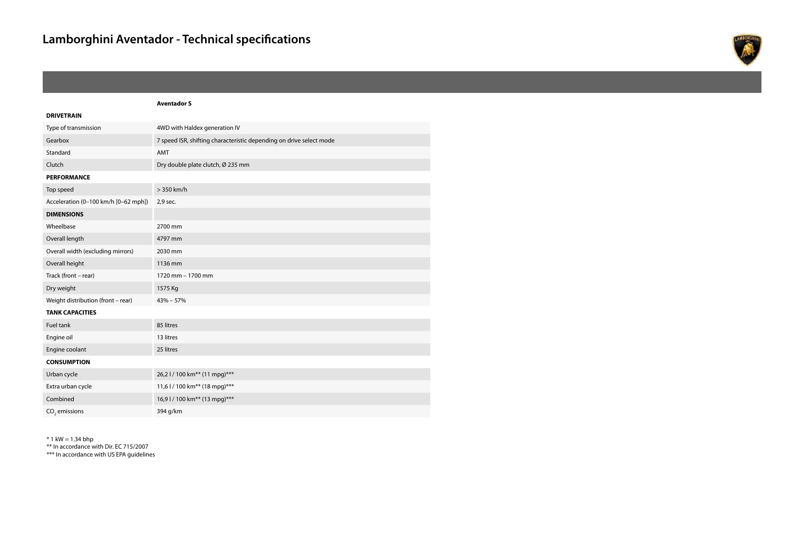

### **Aventador S DRIVETRAIN** Type of transmission 4WD with Haldex generation IV Gearbox 7 speed ISR, shifting characteristic depending on drive select mode Standard **AMT** Clutch Dry double plate clutch, Ø 235 mm **PERFORMANCE** Top speed  $> 350$  km/h Acceleration (0-100 km/h [0-62 mph]) 2,9 sec. **DIMENSIONS** Wheelbase 2700 mm Overall length 4797 mm Overall width (excluding mirrors) 2030 mm Overall height 1136 mm Track (front – rear) 1720 mm – 1700 mm Dry weight 1575 Kg Weight distribution (front – rear) 43% – 57% **TANK CAPACITIES** Fuel tank 85 litres Engine oil 13 litres Engine coolant 25 litres **CONSUMPTION** Urban cycle 26,2 l / 100 km<sup>\*\*</sup> (11 mpg)<sup>\*\*\*</sup> Extra urban cycle 11,6 l / 100 km<sup>\*\*</sup> (18 mpg)<sup>\*\*\*</sup> Combined 16,9 l / 100 km<sup>\*\*</sup> (13 mpg)<sup>\*\*\*</sup>  $CO<sub>2</sub>$  emissions 394 g/km

 $* 1$  kW = 1.34 bhp

\*\* In accordance with Dir. EC 715/2007

\*\*\* In accordance with US EPA guidelines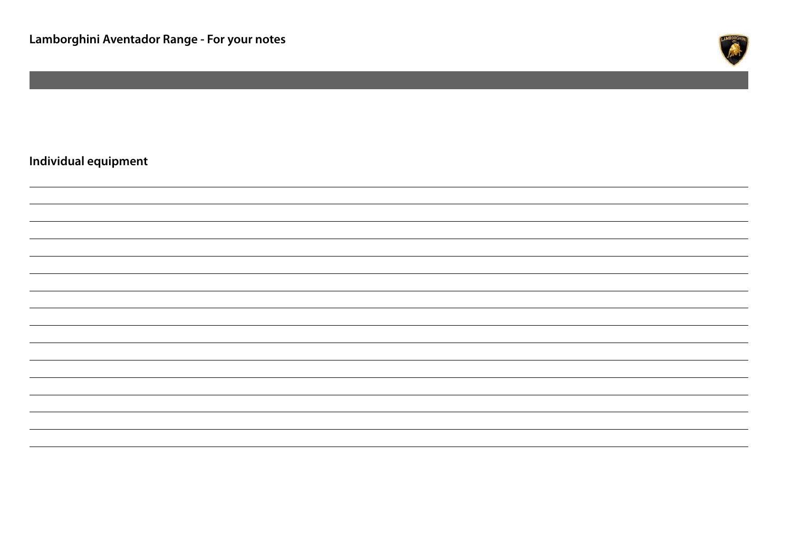

# **Individual equipment**

|                                                                                                                                                                      |  | <u> 1989 - Johann Barn, amerikansk politiker (d. 1989)</u> |
|----------------------------------------------------------------------------------------------------------------------------------------------------------------------|--|------------------------------------------------------------|
|                                                                                                                                                                      |  |                                                            |
|                                                                                                                                                                      |  |                                                            |
|                                                                                                                                                                      |  |                                                            |
|                                                                                                                                                                      |  |                                                            |
| ,一个人的人都是一个人的人,而且,他们的人都是一个人的人,而且,他们的人都是一个人的人,而且,他们的人都是一个人的人,而且,他们的人都是一个人的人,而且,他们的<br>第一百一十一章 一个人的人,他们的人都是一个人的人,他们的人都是一个人的人,他们的人都是一个人的人,他们的人都是一个人的人,他们的人都是一个人的人,他们的人都是 |  |                                                            |
| <u>,这就是这个人的,我们就是这个人的,我们就是这个人的,我们就是这个人的,我们就是这个人的,我们就是这个人的,我们就是这个人的,我们就是这个人的,我们就是</u> 我们的。                                                                             |  |                                                            |
|                                                                                                                                                                      |  |                                                            |
|                                                                                                                                                                      |  |                                                            |
|                                                                                                                                                                      |  |                                                            |
|                                                                                                                                                                      |  |                                                            |
|                                                                                                                                                                      |  |                                                            |